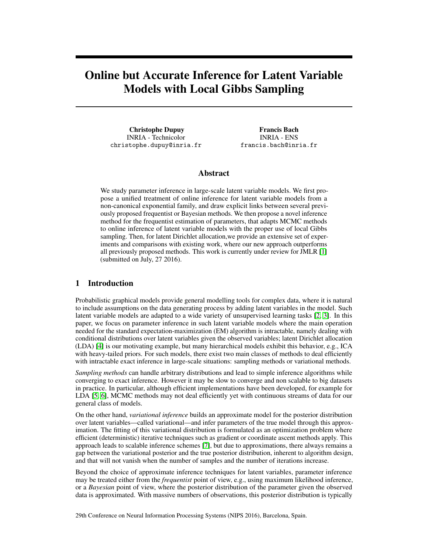# Online but Accurate Inference for Latent Variable Models with Local Gibbs Sampling

Christophe Dupuy INRIA - Technicolor christophe.dupuy@inria.fr

Francis Bach INRIA - ENS francis.bach@inria.fr

#### Abstract

We study parameter inference in large-scale latent variable models. We first propose a unified treatment of online inference for latent variable models from a non-canonical exponential family, and draw explicit links between several previously proposed frequentist or Bayesian methods. We then propose a novel inference method for the frequentist estimation of parameters, that adapts MCMC methods to online inference of latent variable models with the proper use of local Gibbs sampling. Then, for latent Dirichlet allocation,we provide an extensive set of experiments and comparisons with existing work, where our new approach outperforms all previously proposed methods. This work is currently under review for JMLR [\[1\]](#page-4-0) (submitted on July, 27 2016).

## 1 Introduction

Probabilistic graphical models provide general modelling tools for complex data, where it is natural to include assumptions on the data generating process by adding latent variables in the model. Such latent variable models are adapted to a wide variety of unsupervised learning tasks [\[2,](#page-4-1) [3\]](#page-4-2). In this paper, we focus on parameter inference in such latent variable models where the main operation needed for the standard expectation-maximization (EM) algorithm is intractable, namely dealing with conditional distributions over latent variables given the observed variables; latent Dirichlet allocation (LDA) [\[4\]](#page-4-3) is our motivating example, but many hierarchical models exhibit this behavior, e.g., ICA with heavy-tailed priors. For such models, there exist two main classes of methods to deal efficiently with intractable exact inference in large-scale situations: sampling methods or variational methods.

*Sampling methods* can handle arbitrary distributions and lead to simple inference algorithms while converging to exact inference. However it may be slow to converge and non scalable to big datasets in practice. In particular, although efficient implementations have been developed, for example for LDA [\[5,](#page-4-4) [6\]](#page-4-5), MCMC methods may not deal efficiently yet with continuous streams of data for our general class of models.

On the other hand, *variational inference* builds an approximate model for the posterior distribution over latent variables—called variational—and infer parameters of the true model through this approximation. The fitting of this variational distribution is formulated as an optimization problem where efficient (deterministic) iterative techniques such as gradient or coordinate ascent methods apply. This approach leads to scalable inference schemes [\[7\]](#page-4-6), but due to approximations, there always remains a gap between the variational posterior and the true posterior distribution, inherent to algorithm design, and that will not vanish when the number of samples and the number of iterations increase.

Beyond the choice of approximate inference techniques for latent variables, parameter inference may be treated either from the *frequentist* point of view, e.g., using maximum likelihood inference, or a *Bayesian* point of view, where the posterior distribution of the parameter given the observed data is approximated. With massive numbers of observations, this posterior distribution is typically

29th Conference on Neural Information Processing Systems (NIPS 2016), Barcelona, Spain.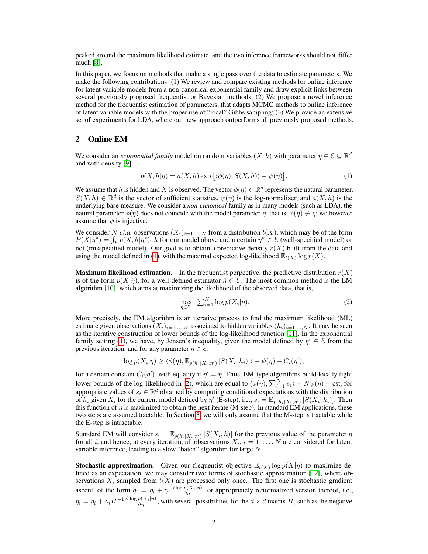peaked around the maximum likelihood estimate, and the two inference frameworks should not differ much [\[8\]](#page-4-7).

In this paper, we focus on methods that make a single pass over the data to estimate parameters. We make the following contributions: (1) We review and compare existing methods for online inference for latent variable models from a non-canonical exponential family and draw explicit links between several previously proposed frequentist or Bayesian methods; (2) We propose a novel inference method for the frequentist estimation of parameters, that adapts MCMC methods to online inference of latent variable models with the proper use of "local" Gibbs sampling; (3) We provide an extensive set of experiments for LDA, where our new approach outperforms all previously proposed methods.

#### 2 Online EM

We consider an *exponential family* model on random variables  $(X, h)$  with parameter  $\eta \in \mathcal{E} \subseteq \mathbb{R}^d$ and with density [\[9\]](#page-4-8):

<span id="page-1-0"></span>
$$
p(X, h|\eta) = a(X, h) \exp \left[ \langle \phi(\eta), S(X, h) \rangle - \psi(\eta) \right]. \tag{1}
$$

We assume that h is hidden and X is observed. The vector  $\phi(\eta) \in \mathbb{R}^d$  represents the natural parameter,  $S(X, h) \in \mathbb{R}^d$  is the vector of sufficient statistics,  $\psi(\eta)$  is the log-normalizer, and  $a(X, h)$  is the underlying base measure. We consider a *non-canonical* family as in many models (such as LDA), the natural parameter  $\phi(\eta)$  does not coincide with the model parameter  $\eta$ , that is,  $\phi(\eta) \neq \eta$ ; we however assume that  $\phi$  is injective.

We consider N *i.i.d.* observations  $(X_i)_{i=1,\dots,N}$  from a distribution  $t(X)$ , which may be of the form  $P(X|\eta^*) = \int_h p(X, h|\eta^*)$ dh for our model above and a certain  $\eta^* \in \mathcal{E}$  (well-specified model) or not (misspecified model). Our goal is to obtain a predictive density  $r(X)$  built from the data and using the model defined in [\(1\)](#page-1-0), with the maximal expected log-likelihood  $\mathbb{E}_{t(X)} \log r(X)$ .

**Maximum likelihood estimation.** In the frequentist perpective, the predictive distribution  $r(X)$ is of the form  $p(X|\hat{\eta})$ , for a well-defined estimator  $\hat{\eta} \in \mathcal{E}$ . The most common method is the EM algorithm [\[10\]](#page-4-9), which aims at maximizing the likelihood of the observed data, that is,

<span id="page-1-1"></span>
$$
\max_{\eta \in \mathcal{E}} \sum_{i=1}^{N} \log p(X_i | \eta). \tag{2}
$$

More precisely, the EM algorithm is an iterative process to find the maximum likelihood (ML) estimate given observations  $(X_i)_{i=1,\dots,N}$  associated to hidden variables  $(h_i)_{i=1,\dots,N}$ . It may be seen as the iterative construction of lower bounds of the log-likelihood function [\[11\]](#page-4-10). In the exponential family setting [\(1\)](#page-1-0), we have, by Jensen's inequality, given the model defined by  $\eta' \in \mathcal{E}$  from the previous iteration, and for any parameter  $\eta \in \mathcal{E}$ :

$$
\log p(X_i|\eta) \ge \langle \phi(\eta), \mathbb{E}_{p(h_i|X_i, \eta')}\left[S(X_i, h_i)\right] \rangle - \psi(\eta) - C_i(\eta'),
$$

for a certain constant  $C_i(\eta')$ , with equality if  $\eta' = \eta$ . Thus, EM-type algorithms build locally tight lower bounds of the log-likelihood in [\(2\)](#page-1-1), which are equal to  $\langle \phi(\eta), \sum_{i=1}^N s_i \rangle - N\psi(\eta) + \text{cst, for}$ appropriate values of  $s_i \in \mathbb{R}^d$  obtained by computing conditional expectations with the distribution of  $h_i$  given  $X_i$  for the current model defined by  $\eta'$  (E-step), i.e.,  $s_i = \mathbb{E}_{p(h_i|X_i, \eta')} [S(X_i, h_i)]$ . Then this function of  $\eta$  is maximized to obtain the next iterate (M-step). In standard EM applications, these two steps are assumed tractable. In Section [3,](#page-2-0) we will only assume that the M-step is tractable while the E-step is intractable.

Standard EM will consider  $s_i = \mathbb{E}_{p(h_i|X_i, \eta')} [S(X_i, h)]$  for the previous value of the parameter  $\eta$ for all i, and hence, at every iteration, all observations  $X_i$ ,  $i = 1, ..., N$  are considered for latent variable inference, leading to a slow "batch" algorithm for large  $N$ .

**Stochastic approximation.** Given our frequentist objective  $\mathbb{E}_{t(X)} \log p(X|\eta)$  to maximize defined as an expectation, we may consider two forms of stochastic approximation [\[12\]](#page-4-11), where observations  $X_i$  sampled from  $t(X)$  are processed only once. The first one is stochastic gradient ascent, of the form  $\eta_i = \eta_i + \gamma_i \frac{\partial \log p(X_i|\eta)}{\partial \eta}$ , or appropriately renormalized version thereof, i.e.,  $\eta_i = \eta_i + \gamma_i H^{-1} \frac{\partial \log p(X_i|\eta)}{\partial \eta}$ , with several possibilities for the  $d \times d$  matrix H, such as the negative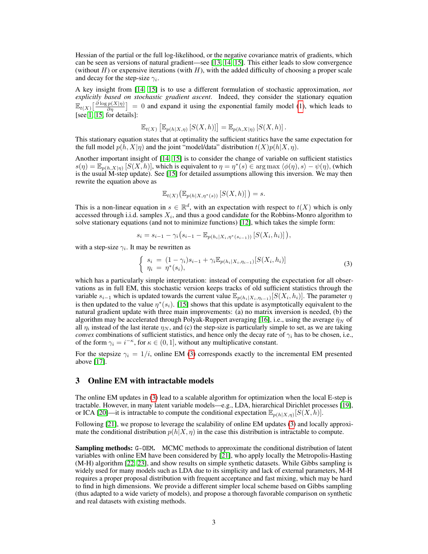Hessian of the partial or the full log-likelihood, or the negative covariance matrix of gradients, which can be seen as versions of natural gradient—see [\[13,](#page-4-12) [14,](#page-4-13) [15\]](#page-4-14). This either leads to slow convergence (without  $H$ ) or expensive iterations (with  $H$ ), with the added difficulty of choosing a proper scale and decay for the step-size  $\gamma_i$ .

A key insight from [\[14,](#page-4-13) [15\]](#page-4-14) is to use a different formulation of stochastic approximation, *not explicitly based on stochastic gradient ascent*. Indeed, they consider the stationary equation  $\mathbb{E}_{t(X)}\left[\frac{\partial \log p(X|\eta)}{\partial \eta}\right] = 0$  and expand it using the exponential family model [\(1\)](#page-1-0), which leads to [see [1,](#page-4-0) [15,](#page-4-14) for details]:

$$
\mathbb{E}_{t(X)}\left[\mathbb{E}_{p(h|X,\eta)}\left[S(X,h)\right]\right]=\mathbb{E}_{p(h,X|\eta)}\left[S(X,h)\right].
$$

This stationary equation states that at optimality the sufficient statitics have the same expectation for the full model  $p(h, X|\eta)$  and the joint "model/data" distribution  $t(X)p(h|X, \eta)$ .

Another important insight of [\[14,](#page-4-13) [15\]](#page-4-14) is to consider the change of variable on sufficient statistics  $s(\eta) = \mathbb{E}_{p(h,X|\eta)} [S(X,h)],$  which is equivalent to  $\eta = \eta^*(s) \in \arg \max \langle \phi(\eta), s \rangle - \psi(\eta)$ , (which is the usual M-step update). See [\[15\]](#page-4-14) for detailed assumptions allowing this inversion. We may then rewrite the equation above as

$$
\mathbb{E}_{t(X)}\big(\mathbb{E}_{p(h|X,\eta^*(s))}\left[S(X,h)\right]\big) = s.
$$

This is a non-linear equation in  $s \in \mathbb{R}^d$ , with an expectation with respect to  $t(X)$  which is only accessed through i.i.d. samples  $X_i$ , and thus a good candidate for the Robbins-Monro algorithm to solve stationary equations (and not to minimize functions) [\[12\]](#page-4-11), which takes the simple form:

$$
s_i = s_{i-1} - \gamma_i \big( s_{i-1} - \mathbb{E}_{p(h_i | X_i, \eta^*(s_{i-1}))} \left[ S(X_i, h_i) \right] \big),
$$

with a step-size  $\gamma_i$ . It may be rewritten as

<span id="page-2-1"></span>
$$
\begin{cases}\ns_i = (1 - \gamma_i)s_{i-1} + \gamma_i \mathbb{E}_{p(h_i|X_i, \eta_{i-1})}[S(X_i, h_i)] \\
\eta_i = \eta^*(s_i),\n\end{cases} \tag{3}
$$

which has a particularly simple interpretation: instead of computing the expectation for all observations as in full EM, this stochastic version keeps tracks of old sufficient statistics through the variable  $s_{i-1}$  which is updated towards the current value  $\mathbb{E}_{p(h_i|X_i,\eta_{i-1})}[S(X_i,h_i)]$ . The parameter  $\eta$ is then updated to the value  $\eta^*(s_i)$ . [\[15\]](#page-4-14) shows that this update is asymptotically equivalent to the natural gradient update with three main improvements: (a) no matrix inversion is needed, (b) the algorithm may be accelerated through Polyak-Ruppert averaging [\[16\]](#page-4-15), i.e., using the average  $\bar{\eta}_N$  of all  $\eta_i$  instead of the last iterate  $\eta_N$ , and (c) the step-size is particularly simple to set, as we are taking *convex* combinations of sufficient statistics, and hence only the decay rate of  $\gamma_i$  has to be chosen, i.e., of the form  $\gamma_i = i^{-\kappa}$ , for  $\kappa \in (0, 1]$ , without any multiplicative constant.

For the stepsize  $\gamma_i = 1/i$ , online EM [\(3\)](#page-2-1) corresponds exactly to the incremental EM presented above [\[17\]](#page-4-16).

## <span id="page-2-0"></span>3 Online EM with intractable models

The online EM updates in [\(3\)](#page-2-1) lead to a scalable algorithm for optimization when the local E-step is tractable. However, in many latent variable models—e.g., LDA, hierarchical Dirichlet processes [\[19\]](#page-4-17), or ICA [\[20\]](#page-4-18)—it is intractable to compute the conditional expectation  $\mathbb{E}_{p(h|X,\eta)}[S(X,h)]$ .

Following [\[21\]](#page-4-19), we propose to leverage the scalability of online EM updates [\(3\)](#page-2-1) and locally approximate the conditional distribution  $p(h|X, \eta)$  in the case this distribution is intractable to compute.

Sampling methods: G-OEM. MCMC methods to approximate the conditional distribution of latent variables with online EM have been considered by [\[21\]](#page-4-19), who apply locally the Metropolis-Hasting (M-H) algorithm [\[22,](#page-4-20) [23\]](#page-4-21), and show results on simple synthetic datasets. While Gibbs sampling is widely used for many models such as LDA due to its simplicity and lack of external parameters, M-H requires a proper proposal distribution with frequent acceptance and fast mixing, which may be hard to find in high dimensions. We provide a different simpler local scheme based on Gibbs sampling (thus adapted to a wide variety of models), and propose a thorough favorable comparison on synthetic and real datasets with existing methods.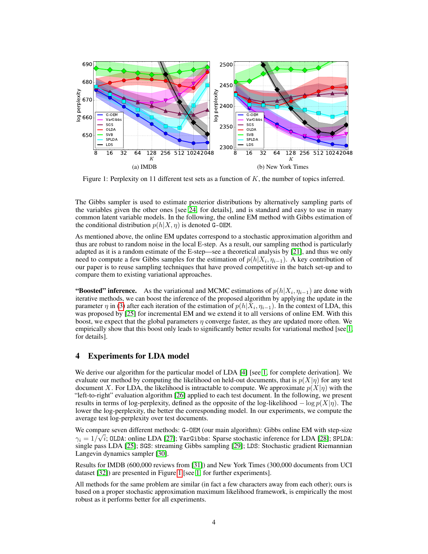<span id="page-3-0"></span>

Figure 1: Perplexity on 11 different test sets as a function of  $K$ , the number of topics inferred.

The Gibbs sampler is used to estimate posterior distributions by alternatively sampling parts of the variables given the other ones [see [24,](#page-4-22) for details], and is standard and easy to use in many common latent variable models. In the following, the online EM method with Gibbs estimation of the conditional distribution  $p(h|X, \eta)$  is denoted G-OEM.

As mentioned above, the online EM updates correspond to a stochastic approximation algorithm and thus are robust to random noise in the local E-step. As a result, our sampling method is particularly adapted as it is a random estimate of the E-step—see a theoretical analysis by [\[21\]](#page-4-19), and thus we only need to compute a few Gibbs samples for the estimation of  $p(h|X_i, \eta_{i-1})$ . A key contribution of our paper is to reuse sampling techniques that have proved competitive in the batch set-up and to compare them to existing variational approaches.

"Boosted" inference. As the variational and MCMC estimations of  $p(h|X_i, \eta_{i-1})$  are done with iterative methods, we can boost the inference of the proposed algorithm by applying the update in the parameter  $\eta$  in [\(3\)](#page-2-1) after each iteration of the estimation of  $p(h|X_i, \eta_{i-1})$ . In the context of LDA, this was proposed by [\[25\]](#page-4-23) for incremental EM and we extend it to all versions of online EM. With this boost, we expect that the global parameters  $\eta$  converge faster, as they are updated more often. We empirically show that this boost only leads to significantly better results for variational method [see [1,](#page-4-0) for details].

## 4 Experiments for LDA model

We derive our algorithm for the particular model of LDA [\[4\]](#page-4-3) [see [1,](#page-4-0) for complete derivation]. We evaluate our method by computing the likelihood on held-out documents, that is  $p(X|\eta)$  for any test document X. For LDA, the likelihood is intractable to compute. We approximate  $p(X|\eta)$  with the "left-to-right" evaluation algorithm [\[26\]](#page-4-24) applied to each test document. In the following, we present results in terms of log-perplexity, defined as the opposite of the log-likelihood  $-\log p(X|\eta)$ . The lower the log-perplexity, the better the corresponding model. In our experiments, we compute the average test log-perplexity over test documents.

We compare seven different methods: G-OEM (our main algorithm): Gibbs online EM with step-size  $\gamma_i = 1/\sqrt{i}$ ; OLDA: online LDA [\[27\]](#page-4-25); VarGibbs: Sparse stochastic inference for LDA [\[28\]](#page-5-0); SPLDA: single pass LDA [\[25\]](#page-4-23); SGS: streaming Gibbs sampling [\[29\]](#page-5-1); LDS: Stochastic gradient Riemannian Langevin dynamics sampler [\[30\]](#page-5-2).

Results for IMDB (600,000 reviews from [\[31\]](#page-5-3)) and New York Times (300,000 documents from UCI dataset [\[32\]](#page-5-4)) are presented in Figure [1](#page-3-0) [see [1,](#page-4-0) for further experiments].

All methods for the same problem are similar (in fact a few characters away from each other); ours is based on a proper stochastic approximation maximum likelihood framework, is empirically the most robust as it performs better for all experiments.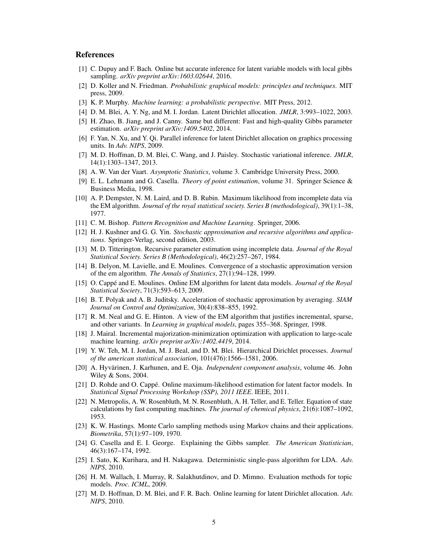## **References**

- <span id="page-4-0"></span>[1] C. Dupuy and F. Bach. Online but accurate inference for latent variable models with local gibbs sampling. *arXiv preprint arXiv:1603.02644*, 2016.
- <span id="page-4-1"></span>[2] D. Koller and N. Friedman. *Probabilistic graphical models: principles and techniques*. MIT press, 2009.
- <span id="page-4-2"></span>[3] K. P. Murphy. *Machine learning: a probabilistic perspective*. MIT Press, 2012.
- <span id="page-4-3"></span>[4] D. M. Blei, A. Y. Ng, and M. I. Jordan. Latent Dirichlet allocation. *JMLR*, 3:993–1022, 2003.
- <span id="page-4-4"></span>[5] H. Zhao, B. Jiang, and J. Canny. Same but different: Fast and high-quality Gibbs parameter estimation. *arXiv preprint arXiv:1409.5402*, 2014.
- <span id="page-4-5"></span>[6] F. Yan, N. Xu, and Y. Qi. Parallel inference for latent Dirichlet allocation on graphics processing units. In *Adv. NIPS*, 2009.
- <span id="page-4-6"></span>[7] M. D. Hoffman, D. M. Blei, C. Wang, and J. Paisley. Stochastic variational inference. *JMLR*, 14(1):1303–1347, 2013.
- <span id="page-4-7"></span>[8] A. W. Van der Vaart. *Asymptotic Statistics*, volume 3. Cambridge University Press, 2000.
- <span id="page-4-8"></span>[9] E. L. Lehmann and G. Casella. *Theory of point estimation*, volume 31. Springer Science & Business Media, 1998.
- <span id="page-4-9"></span>[10] A. P. Dempster, N. M. Laird, and D. B. Rubin. Maximum likelihood from incomplete data via the EM algorithm. *Journal of the royal statistical society. Series B (methodological)*, 39(1):1–38, 1977.
- <span id="page-4-10"></span>[11] C. M. Bishop. *Pattern Recognition and Machine Learning*. Springer, 2006.
- <span id="page-4-11"></span>[12] H. J. Kushner and G. G. Yin. *Stochastic approximation and recursive algorithms and applications*. Springer-Verlag, second edition, 2003.
- <span id="page-4-12"></span>[13] M. D. Titterington. Recursive parameter estimation using incomplete data. *Journal of the Royal Statistical Society. Series B (Methodological)*, 46(2):257–267, 1984.
- <span id="page-4-13"></span>[14] B. Delyon, M. Lavielle, and E. Moulines. Convergence of a stochastic approximation version of the em algorithm. *The Annals of Statistics*, 27(1):94–128, 1999.
- <span id="page-4-14"></span>[15] O. Cappé and E. Moulines. Online EM algorithm for latent data models. *Journal of the Royal Statistical Society*, 71(3):593–613, 2009.
- <span id="page-4-15"></span>[16] B. T. Polyak and A. B. Juditsky. Acceleration of stochastic approximation by averaging. *SIAM Journal on Control and Optimization*, 30(4):838–855, 1992.
- <span id="page-4-16"></span>[17] R. M. Neal and G. E. Hinton. A view of the EM algorithm that justifies incremental, sparse, and other variants. In *Learning in graphical models*, pages 355–368. Springer, 1998.
- [18] J. Mairal. Incremental majorization-minimization optimization with application to large-scale machine learning. *arXiv preprint arXiv:1402.4419*, 2014.
- <span id="page-4-17"></span>[19] Y. W. Teh, M. I. Jordan, M. J. Beal, and D. M. Blei. Hierarchical Dirichlet processes. *Journal of the american statistical association*, 101(476):1566–1581, 2006.
- <span id="page-4-18"></span>[20] A. Hyvärinen, J. Karhunen, and E. Oja. *Independent component analysis*, volume 46. John Wiley & Sons, 2004.
- <span id="page-4-19"></span>[21] D. Rohde and O. Cappé. Online maximum-likelihood estimation for latent factor models. In *Statistical Signal Processing Workshop (SSP), 2011 IEEE*. IEEE, 2011.
- <span id="page-4-20"></span>[22] N. Metropolis, A. W. Rosenbluth, M. N. Rosenbluth, A. H. Teller, and E. Teller. Equation of state calculations by fast computing machines. *The journal of chemical physics*, 21(6):1087–1092, 1953.
- <span id="page-4-21"></span>[23] K. W. Hastings. Monte Carlo sampling methods using Markov chains and their applications. *Biometrika*, 57(1):97–109, 1970.
- <span id="page-4-22"></span>[24] G. Casella and E. I. George. Explaining the Gibbs sampler. *The American Statistician*, 46(3):167–174, 1992.
- <span id="page-4-23"></span>[25] I. Sato, K. Kurihara, and H. Nakagawa. Deterministic single-pass algorithm for LDA. *Adv. NIPS*, 2010.
- <span id="page-4-24"></span>[26] H. M. Wallach, I. Murray, R. Salakhutdinov, and D. Mimno. Evaluation methods for topic models. *Proc. ICML*, 2009.
- <span id="page-4-25"></span>[27] M. D. Hoffman, D. M. Blei, and F. R. Bach. Online learning for latent Dirichlet allocation. *Adv. NIPS*, 2010.